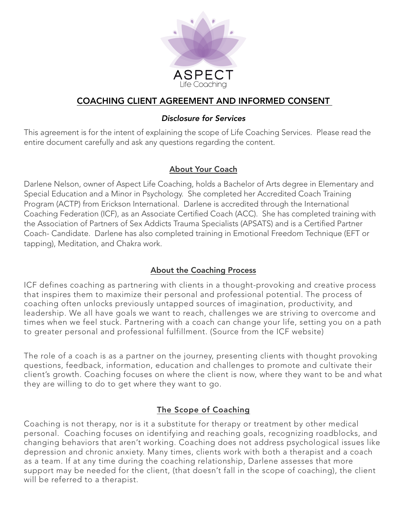

# COACHING CLIENT AGREEMENT AND INFORMED CONSENT

#### *Disclosure for Services*

This agreement is for the intent of explaining the scope of Life Coaching Services. Please read the entire document carefully and ask any questions regarding the content.

### About Your Coach

Darlene Nelson, owner of Aspect Life Coaching, holds a Bachelor of Arts degree in Elementary and Special Education and a Minor in Psychology. She completed her Accredited Coach Training Program (ACTP) from Erickson International. Darlene is accredited through the International Coaching Federation (ICF), as an Associate Certified Coach (ACC). She has completed training with the Association of Partners of Sex Addicts Trauma Specialists (APSATS) and is a Certified Partner Coach- Candidate. Darlene has also completed training in Emotional Freedom Technique (EFT or tapping), Meditation, and Chakra work.

### About the Coaching Process

ICF defines coaching as partnering with clients in a thought-provoking and creative process that inspires them to maximize their personal and professional potential. The process of coaching often unlocks previously untapped sources of imagination, productivity, and leadership. We all have goals we want to reach, challenges we are striving to overcome and times when we feel stuck. Partnering with a coach can change your life, setting you on a path to greater personal and professional fulfillment. (Source from the ICF website)

The role of a coach is as a partner on the journey, presenting clients with thought provoking questions, feedback, information, education and challenges to promote and cultivate their client's growth. Coaching focuses on where the client is now, where they want to be and what they are willing to do to get where they want to go.

## The Scope of Coaching

Coaching is not therapy, nor is it a substitute for therapy or treatment by other medical personal. Coaching focuses on identifying and reaching goals, recognizing roadblocks, and changing behaviors that aren't working. Coaching does not address psychological issues like depression and chronic anxiety. Many times, clients work with both a therapist and a coach as a team. If at any time during the coaching relationship, Darlene assesses that more support may be needed for the client, (that doesn't fall in the scope of coaching), the client will be referred to a therapist.